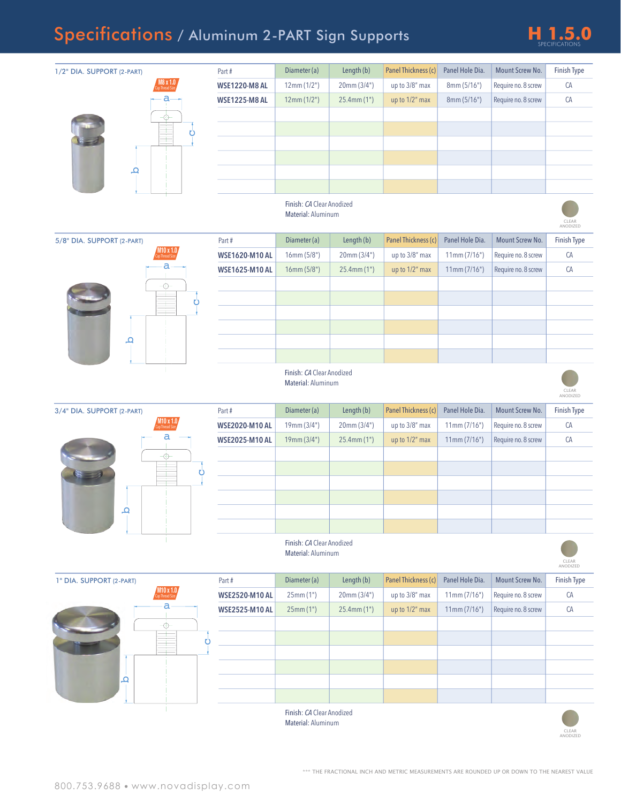## Specifications / Aluminum 2-PART Sign Supports **H 1.5.0**



| 1/2" DIA. SUPPORT (2-PART) | 0.1 x 18               | Part#                 | Diameter (a)                                    | Length (b)       | Panel Thickness (c) | Panel Hole Dia. | Mount Screw No.     | Finish Type       |
|----------------------------|------------------------|-----------------------|-------------------------------------------------|------------------|---------------------|-----------------|---------------------|-------------------|
|                            |                        | <b>WSE1220-M8 AL</b>  | 12mm(1/2")                                      | 20mm(3/4")       | up to 3/8" max      | 8mm(5/16")      | Require no. 8 screw | CA                |
|                            |                        | <b>WSE1225-M8 AL</b>  | 12mm(1/2")                                      | $25.4$ mm $(1")$ | up to 1/2" max      | 8mm (5/16")     | Require no. 8 screw | CA                |
|                            |                        |                       |                                                 |                  |                     |                 |                     |                   |
|                            | O                      |                       |                                                 |                  |                     |                 |                     |                   |
|                            |                        |                       |                                                 |                  |                     |                 |                     |                   |
| ₽                          |                        |                       |                                                 |                  |                     |                 |                     |                   |
|                            |                        |                       |                                                 |                  |                     |                 |                     |                   |
|                            |                        |                       |                                                 |                  |                     |                 |                     |                   |
|                            |                        |                       | Finish: CA Clear Anodized<br>Material: Aluminum |                  |                     |                 |                     |                   |
|                            |                        |                       |                                                 |                  |                     |                 |                     | CLEAR<br>ANODIZED |
| 5/8" DIA. SUPPORT (2-PART) |                        | Part#                 | Diameter (a)                                    | Length (b)       | Panel Thickness (c) | Panel Hole Dia. | Mount Screw No.     | Finish Type       |
|                            | 'M10 x 1.0             | <b>WSE1620-M10 AL</b> | 16mm(5/8")                                      | 20mm (3/4")      | up to 3/8" max      | 11mm(7/16")     | Require no. 8 screw | CA                |
|                            | а                      | <b>WSE1625-M10 AL</b> | 16mm(5/8")                                      | 25.4mm(1")       | up to 1/2" max      | 11mm(7/16")     | Require no. 8 screw | CA                |
|                            | -⊕-                    |                       |                                                 |                  |                     |                 |                     |                   |
|                            | Ü                      |                       |                                                 |                  |                     |                 |                     |                   |
|                            |                        |                       |                                                 |                  |                     |                 |                     |                   |
|                            |                        |                       |                                                 |                  |                     |                 |                     |                   |
| ₽                          |                        |                       |                                                 |                  |                     |                 |                     |                   |
|                            |                        |                       |                                                 |                  |                     |                 |                     |                   |
|                            |                        |                       | Finish: CA Clear Anodized<br>Material: Aluminum |                  |                     |                 |                     |                   |
|                            |                        |                       |                                                 |                  |                     |                 |                     | CLEAR<br>ANODIZED |
|                            |                        |                       |                                                 |                  |                     |                 |                     |                   |
| 3/4" DIA. SUPPORT (2-PART) |                        | Part#                 | Diameter (a)                                    | Length (b)       | Panel Thickness (c) | Panel Hole Dia. | Mount Screw No.     | Finish Type       |
|                            | M10 x 1.0,             | <b>WSE2020-M10 AL</b> | 19mm (3/4")                                     | 20mm (3/4")      | up to 3/8" max      | 11mm(7/16")     | Require no. 8 screw | CA                |
|                            | а                      | <b>WSE2025-M10 AL</b> | 19mm (3/4")                                     | 25.4mm (1")      | up to 1/2" max      | 11mm(7/16")     | Require no. 8 screw | CA                |
|                            | $\overline{\bigoplus}$ |                       |                                                 |                  |                     |                 |                     |                   |
|                            | ΰ                      |                       |                                                 |                  |                     |                 |                     |                   |
|                            |                        |                       |                                                 |                  |                     |                 |                     |                   |
|                            |                        |                       |                                                 |                  |                     |                 |                     |                   |
| ط                          |                        |                       |                                                 |                  |                     |                 |                     |                   |
|                            |                        |                       |                                                 |                  |                     |                 |                     |                   |
|                            |                        |                       | Finish: CA Clear Anodized                       |                  |                     |                 |                     |                   |
|                            |                        |                       | Material: Aluminum                              |                  |                     |                 |                     | CLEAR<br>ANODIZED |
| 1" DIA. SUPPORT (2-PART)   |                        | Part#                 | Diameter (a)                                    | Length (b)       | Panel Thickness (c) | Panel Hole Dia. | Mount Screw No.     | Finish Type       |
|                            | $M10 \times 1.0$       | <b>WSE2520-M10 AL</b> | 25mm(1")                                        | 20mm (3/4")      | up to 3/8" max      | 11mm(7/16")     | Require no. 8 screw | ${\sf CA}$        |
|                            | а                      | <b>WSE2525-M10 AL</b> | 25mm (1")                                       | $25.4$ mm $(1")$ | up to 1/2" max      | 11mm(7/16")     | Require no. 8 screw | CA                |
|                            | ⊕                      |                       |                                                 |                  |                     |                 |                     |                   |
|                            |                        |                       |                                                 |                  |                     |                 |                     |                   |
|                            |                        |                       |                                                 |                  |                     |                 |                     |                   |
|                            |                        |                       |                                                 |                  |                     |                 |                     |                   |
| ⊾                          |                        |                       |                                                 |                  |                     |                 |                     |                   |
|                            |                        |                       |                                                 |                  |                     |                 |                     |                   |
|                            |                        |                       | Finish: CA Clear Anodized                       |                  |                     |                 |                     |                   |
|                            |                        |                       | Material: Aluminum                              |                  |                     |                 |                     | CLEAR<br>ANODIZED |